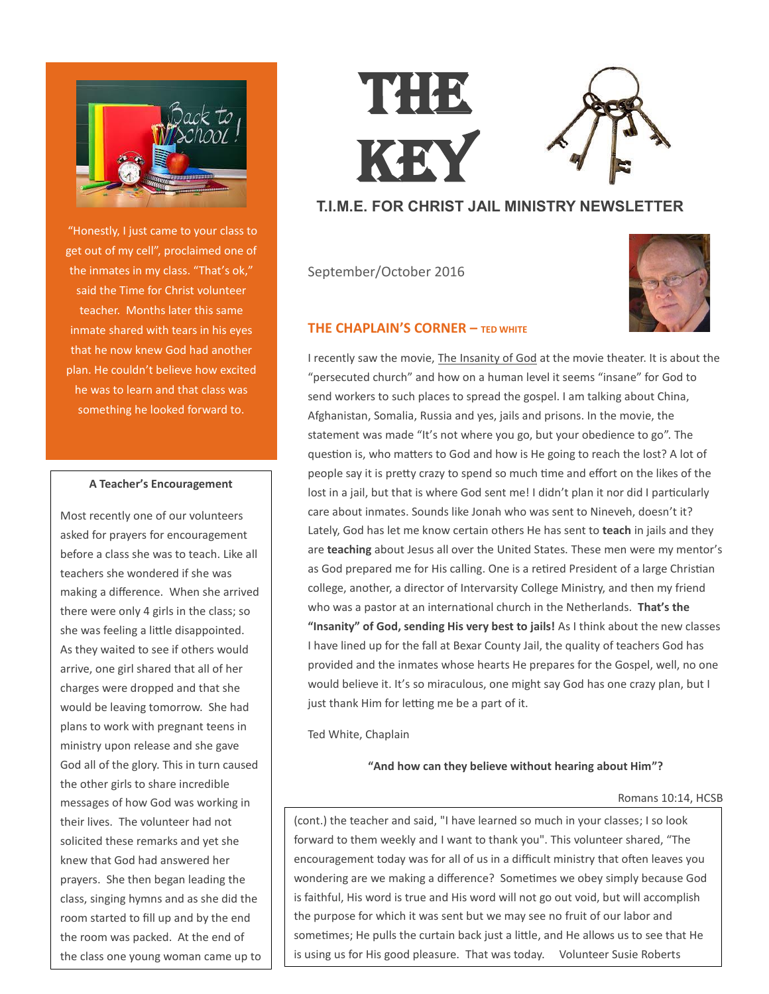

"Honestly, I just came to your class to get out of my cell", proclaimed one of the inmates in my class. "That's ok," said the Time for Christ volunteer teacher. Months later this same inmate shared with tears in his eyes that he now knew God had another plan. He couldn't believe how excited he was to learn and that class was something he looked forward to.

#### **A Teacher's Encouragement**

Most recently one of our volunteers asked for prayers for encouragement before a class she was to teach. Like all teachers she wondered if she was making a difference. When she arrived there were only 4 girls in the class; so she was feeling a little disappointed. As they waited to see if others would arrive, one girl shared that all of her charges were dropped and that she would be leaving tomorrow. She had plans to work with pregnant teens in ministry upon release and she gave God all of the glory. This in turn caused the other girls to share incredible messages of how God was working in their lives. The volunteer had not solicited these remarks and yet she knew that God had answered her prayers. She then began leading the class, singing hymns and as she did the room started to fill up and by the end the room was packed. At the end of the class one young woman came up to

# THE KEY

## **T.I.M.E. FOR CHRIST JAIL MINISTRY NEWSLETTER**

September/October 2016



#### **THE CHAPLAIN'S CORNER – TED WHITE**

I recently saw the movie, The Insanity of God at the movie theater. It is about the "persecuted church" and how on a human level it seems "insane" for God to send workers to such places to spread the gospel. I am talking about China, Afghanistan, Somalia, Russia and yes, jails and prisons. In the movie, the statement was made "It's not where you go, but your obedience to go". The question is, who matters to God and how is He going to reach the lost? A lot of people say it is pretty crazy to spend so much time and effort on the likes of the lost in a jail, but that is where God sent me! I didn't plan it nor did I particularly care about inmates. Sounds like Jonah who was sent to Nineveh, doesn't it? Lately, God has let me know certain others He has sent to **teach** in jails and they are **teaching** about Jesus all over the United States. These men were my mentor's as God prepared me for His calling. One is a retired President of a large Christian college, another, a director of Intervarsity College Ministry, and then my friend who was a pastor at an international church in the Netherlands. **That's the "Insanity" of God, sending His very best to jails!** As I think about the new classes I have lined up for the fall at Bexar County Jail, the quality of teachers God has provided and the inmates whose hearts He prepares for the Gospel, well, no one would believe it. It's so miraculous, one might say God has one crazy plan, but I just thank Him for letting me be a part of it.

Ted White, Chaplain

#### **"And how can they believe without hearing about Him"?**

#### Romans 10:14, HCSB

(cont.) the teacher and said, "I have learned so much in your classes; I so look forward to them weekly and I want to thank you". This volunteer shared, "The encouragement today was for all of us in a difficult ministry that often leaves you wondering are we making a difference? Sometimes we obey simply because God is faithful, His word is true and His word will not go out void, but will accomplish the purpose for which it was sent but we may see no fruit of our labor and sometimes; He pulls the curtain back just a little, and He allows us to see that He is using us for His good pleasure. That was today. Volunteer Susie Roberts